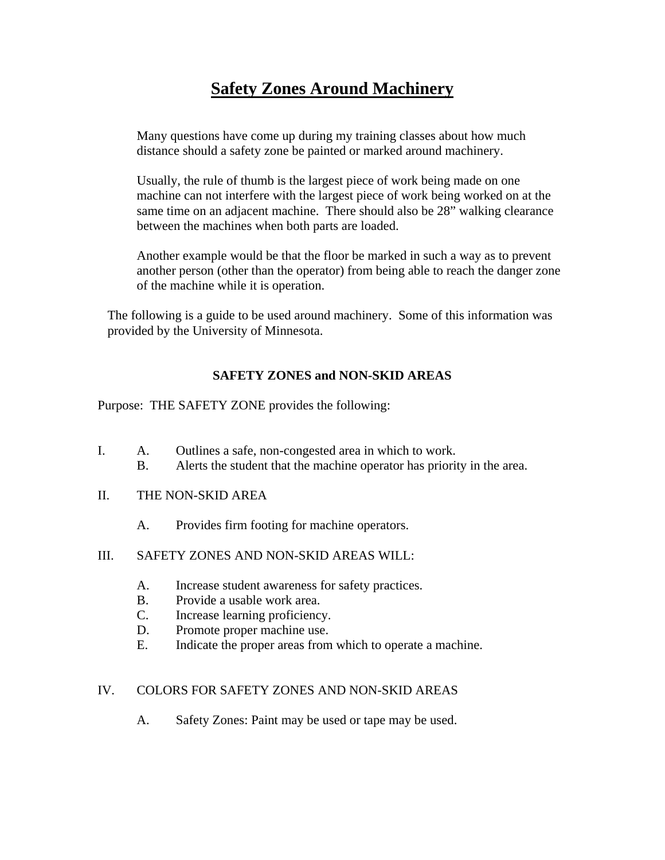## **Safety Zones Around Machinery**

Many questions have come up during my training classes about how much distance should a safety zone be painted or marked around machinery.

Usually, the rule of thumb is the largest piece of work being made on one machine can not interfere with the largest piece of work being worked on at the same time on an adjacent machine. There should also be 28" walking clearance between the machines when both parts are loaded.

Another example would be that the floor be marked in such a way as to prevent another person (other than the operator) from being able to reach the danger zone of the machine while it is operation.

The following is a guide to be used around machinery. Some of this information was provided by the University of Minnesota.

## **SAFETY ZONES and NON-SKID AREAS**

Purpose:THE SAFETY ZONE provides the following:

- I. A. Outlines a safe, non-congested area in which to work.
	- B. Alerts the student that the machine operator has priority in the area.
- II. THE NON-SKID AREA
	- A. Provides firm footing for machine operators.
- III. SAFETY ZONES AND NON-SKID AREAS WILL:
	- A. Increase student awareness for safety practices.
	- B. Provide a usable work area.
	- C. Increase learning proficiency.
	- D. Promote proper machine use.
	- E. Indicate the proper areas from which to operate a machine.

## IV. COLORS FOR SAFETY ZONES AND NON-SKID AREAS

A. Safety Zones: Paint may be used or tape may be used.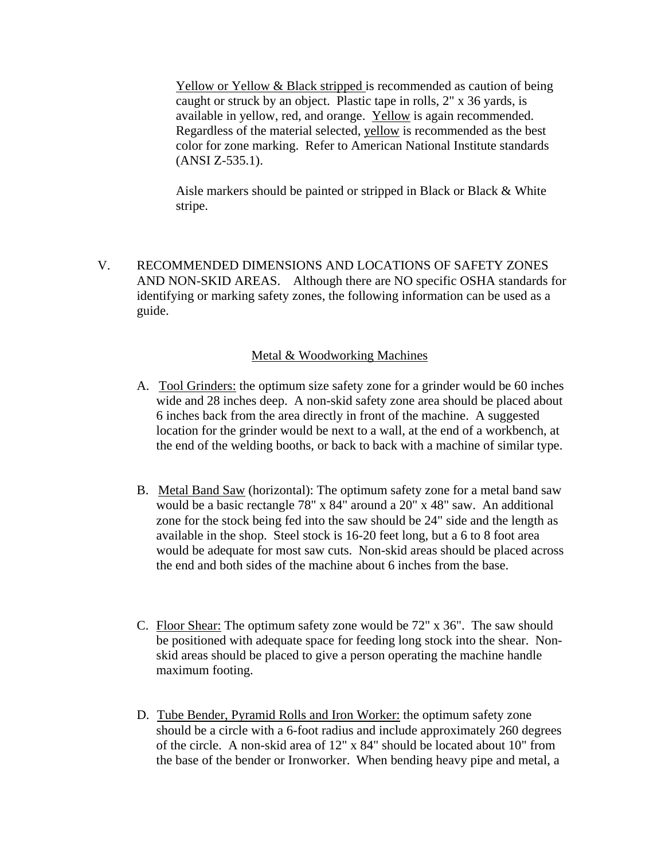Yellow or Yellow & Black stripped is recommended as caution of being caught or struck by an object. Plastic tape in rolls, 2" x 36 yards, is available in yellow, red, and orange. Yellow is again recommended. Regardless of the material selected, yellow is recommended as the best color for zone marking. Refer to American National Institute standards (ANSI Z-535.1).

Aisle markers should be painted or stripped in Black or Black & White stripe.

V. RECOMMENDED DIMENSIONS AND LOCATIONS OF SAFETY ZONES AND NON-SKID AREAS. Although there are NO specific OSHA standards for identifying or marking safety zones, the following information can be used as a guide.

## Metal & Woodworking Machines

- A. Tool Grinders: the optimum size safety zone for a grinder would be 60 inches wide and 28 inches deep. A non-skid safety zone area should be placed about 6 inches back from the area directly in front of the machine. A suggested location for the grinder would be next to a wall, at the end of a workbench, at the end of the welding booths, or back to back with a machine of similar type.
- B. Metal Band Saw (horizontal): The optimum safety zone for a metal band saw would be a basic rectangle 78" x 84" around a 20" x 48" saw. An additional zone for the stock being fed into the saw should be 24" side and the length as available in the shop. Steel stock is 16-20 feet long, but a 6 to 8 foot area would be adequate for most saw cuts. Non-skid areas should be placed across the end and both sides of the machine about 6 inches from the base.
- C. Floor Shear: The optimum safety zone would be 72" x 36". The saw should be positioned with adequate space for feeding long stock into the shear. Nonskid areas should be placed to give a person operating the machine handle maximum footing.
- D. Tube Bender, Pyramid Rolls and Iron Worker: the optimum safety zone should be a circle with a 6-foot radius and include approximately 260 degrees of the circle. A non-skid area of 12" x 84" should be located about 10" from the base of the bender or Ironworker. When bending heavy pipe and metal, a